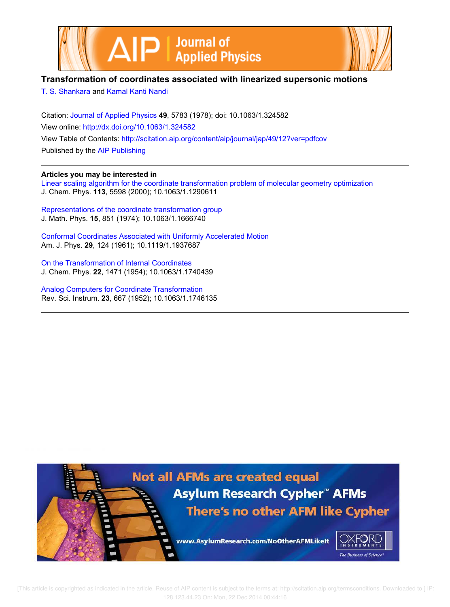



# **Transformation of coordinates associated with linearized supersonic motions**

T. S. Shankara and Kamal Kanti Nandi

Citation: Journal of Applied Physics **49**, 5783 (1978); doi: 10.1063/1.324582 View online: http://dx.doi.org/10.1063/1.324582 View Table of Contents: http://scitation.aip.org/content/aip/journal/jap/49/12?ver=pdfcov Published by the AIP Publishing

#### **Articles you may be interested in**

Linear scaling algorithm for the coordinate transformation problem of molecular geometry optimization J. Chem. Phys. **113**, 5598 (2000); 10.1063/1.1290611

Representations of the coordinate transformation group J. Math. Phys. **15**, 851 (1974); 10.1063/1.1666740

Conformal Coordinates Associated with Uniformly Accelerated Motion Am. J. Phys. **29**, 124 (1961); 10.1119/1.1937687

On the Transformation of Internal Coordinates J. Chem. Phys. **22**, 1471 (1954); 10.1063/1.1740439

Analog Computers for Coordinate Transformation Rev. Sci. Instrum. **23**, 667 (1952); 10.1063/1.1746135

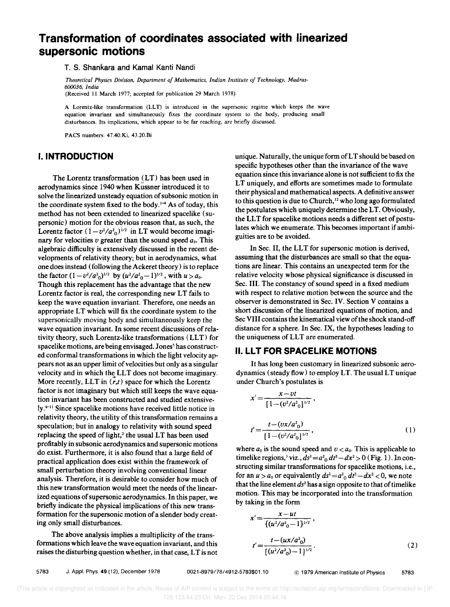# **Transformation of coordinates associated with linearized supersonic motions**

T. S. Shankara and Kamal Kanti Nandi

*Theoretical Physics Division, Department of Mathematics. Indian Institute of Technology, Madras-600036, India*  (Received II March 1977; accepted for publication 29 March 1978)

A Lorentz-like transformation (LLT) is introduced in the supersonic regime which keeps the wave equation invariant and simultaneously fixes the coordinate system to the body, producing small disturbances. Its implications, which appear to be far reaching, are briefly discussed.

PACS numbers: 47.40.Ki, 43.20.Bi

# I. INTRODUCTION

The Lorentz transformation (LT) has been used in aerodynamics since 1940 when Kussner introduced it to solve the linearized unsteady equation of subsonic motion in the coordinate system fixed to the body.<sup>1-4</sup> As of today, this method has not been extended to linearized spacelike (supersonic) motion for the obvious reason that, as such, the Lorentz factor  $(1 - v^2/a_0^2)^{1/2}$  in LT would become imaginary for velocities *v* greater than the sound speed *ao.* This algebraic difficulty is extensively discussed in the recent developments of relativity theory; but in aerodynamics, what one does instead (following the Ackeret theory) is to replace the factor  $(1 - v^2/a^2)$ <sup>1/2</sup> by  $(u^2/a^2-1)^{1/2}$ , with  $u > a_0$ . Though this replacement has the advantage that the new Lorentz factor is real, the corresponding new LT fails to keep the wave equation invariant. Therefore, one needs an appropriate LT which will fix the coordinate system to the supersonically moving body and simultaneously keep the wave equation invariant. In some recent discussions of relativity theory, such Lorentz-like transformations (LLT) for spacelike motions, are being envisaged. Jones' has constructed conformal transformations in which the light velocity appears not as an upper limit of velocities but only as a singular velocity and in which the LLT does not become imaginary. More recently, LLT in  $(r,t)$  space for which the Lorentz factor is not imaginary but which still keeps the wave equation invariant has been constructed and studied extensively.6-11 Since spacelike motions have received little notice in relativity theory, the utility of this transformation remains a speculation; but in analogy to relativity with sound speed replacing the speed of light,<sup>2</sup> the usual LT has been used profitably in subsonic aerodynamics and supersonic motions do exist. Furthermore, it is also found that a large field of practical application does exist within the framework of small perturbation theory involving conventional linear analysis. Therefore, it is desirable to consider how much of this new transformation would meet the needs of the linearized equations of supersonic aerodynamics. In this paper, we briefly indicate the physical implications of this new transformation for the supersonic motion of a slender body creating only small disturbances.

The above analysis implies a multiplicity of the transformations which leave the wave equation invariant, and this raises the disturbing question whether, in that case, LT is not unique. Naturally, the unique form ofLT should be based on specific hypotheses other than the invariance of the wave equation since this invariance alone is not sufficient to fix the LT uniquely, and efforts are sometimes made to formulate their physical and mathematical aspects. A definitive answer to this question is due to Church,<sup>12</sup> who long ago formulated the postulates which uniquely determine the LT. Obviously, the LLT for spacelike motions needs a different set of postulates which we enumerate. This becomes important if ambiguities are to be avoided.

In Sec. II, the LLT for supersonic motion is derived, assuming that the disturbances are small so that the equations are linear. This contains an unexpected term for the relative velocity whose physical significance is discussed in Sec. III. The constancy of sound speed in a fixed medium with respect to relative motion between the source and the observer is demonstrated in Sec. IV. Section V contains a short discussion of the linearized equations of motion, and Sec VIII contains the kinematical view of the shock stand-off distance for a sphere. In Sec. IX, the hypotheses leading to the uniqueness of LLT are enumerated.

# **II. LLT FOR SPACELIKE MOTIONS**

It has long been customary in linearized subsonic aerodynamics (steady flow) to employ LT. The usual LT unique under Church's postulates is

$$
x' = \frac{x - vt}{[1 - (v^2/a^2_0]^{1/2}},
$$
  

$$
t' = \frac{t - (vx/a^2_0)}{[1 - (v^2/a^2_0]^{1/2}},
$$
 (1)

where  $a_0$  is the sound speed and  $v < a_0$ . This is applicable to timelike regions,<sup>3</sup> viz.,  $ds^2 = a^2 O dt^2 - dx^2 > 0$  (Fig. 1). In constructing similar transformations for spacelike motions, i.e., for an  $u > a_0$  or equivalently  $ds^2 = a^2 \frac{d}{v^2} - dx^2 < 0$ , we note that the line element  $ds^2$  has a sign opposite to that of timelike motion. This may be incorporated into the transformation by taking in the form

$$
x' = \frac{x - ut}{\{(u^2/a^2 - 1\}^{1/2})},
$$
  

$$
t' = \frac{t - (ux/a^2 - 1)^{1/2}}{\{(u^2/a^2 - 1\}^{1/2})}.
$$
 (2)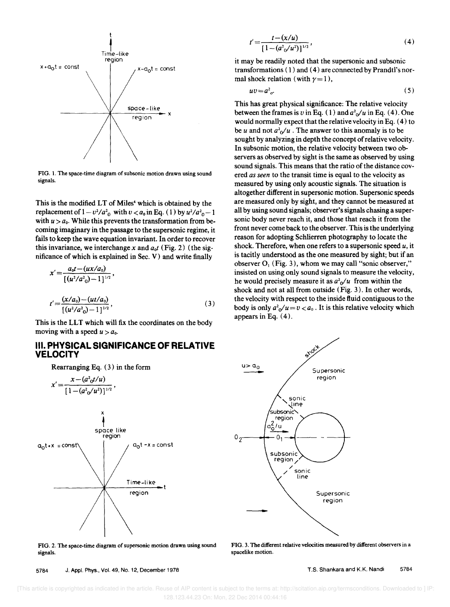

FIG. 1. The space-time diagram of subsonic motion drawn using sound signals.

This is the modified LT of Miles<sup>4</sup> which is obtained by the replacement of  $1 - v^2/a^2$  with  $v < a_0$  in Eq. (1) by  $u^2/a^2$ <sub>0</sub> - 1 with  $u > a_0$ . While this prevents the transformation from becoming imaginary in the passage to the supersonic regime, it fails to keep the wave equation invariant. In order to recover this invariance, we interchange *x* and  $a_0t$  (Fig. 2) (the significance of which is explained in Sec. V) and write finally

$$
x' = \frac{a_0 t - (ux/a_0)}{[(u^2/a_0^2) - 1]^{1/2}},
$$
  

$$
t' = \frac{(x/a_0) - (ut/a_0)}{[(u^2/a_0^2) - 1]^{1/2}},
$$
 (3)

This is the LLT which will fix the coordinates on the body moving with a speed  $u > a_0$ .

# **III. PHYSICAL SIGNIFICANCE OF RELATIVE VELOCITY**

Rearranging Eq. (3) in the form

$$
x' = \frac{x - (a^{2} \circ t/u)}{[1 - (a^{2} \circ/u^{2})]^{1/2}},
$$
\n
$$
x
$$
\nspace like  
\n
$$
a_{0}t + x = const
$$
\n
$$
a_{0}t - x = const
$$
\n
$$
x
$$
\n
$$
x
$$
\n
$$
x
$$
\n
$$
x
$$
\n
$$
x
$$
\n
$$
x
$$
\n
$$
x
$$
\n
$$
x
$$
\n
$$
x
$$
\n
$$
x
$$
\n
$$
x
$$
\n
$$
x
$$
\n
$$
x
$$
\n
$$
x
$$
\n
$$
x
$$
\n
$$
x
$$
\n
$$
x
$$
\n
$$
x
$$
\n
$$
x
$$
\n
$$
x
$$
\n
$$
x
$$
\n
$$
x
$$
\n
$$
x
$$
\n
$$
x
$$
\n
$$
x
$$
\n
$$
x
$$
\n
$$
x
$$
\n
$$
x
$$
\n
$$
x
$$
\n
$$
x
$$
\n
$$
x
$$
\n
$$
x
$$
\n
$$
x
$$
\n
$$
x
$$
\n
$$
x
$$
\n
$$
x
$$
\n
$$
x
$$
\n
$$
x
$$
\n
$$
x
$$
\n
$$
x
$$
\n
$$
x
$$
\n
$$
x
$$
\n
$$
x
$$
\n
$$
x
$$
\n
$$
x
$$
\n
$$
x
$$
\n
$$
x
$$
\n
$$
x
$$
\n
$$
x
$$
\n
$$
x
$$
\n
$$
x
$$
\n
$$
x
$$
\n
$$
x
$$
\n
$$
x
$$
\n
$$
x
$$
\n
$$
x
$$
\n
$$
x
$$
\n
$$
x
$$
\n
$$
x
$$
\n
$$
x
$$
\n $$ 

FIG. 2. The space-time diagram of supersonic motion drawn using sound signals.

5784 J. Appl. Phys., Vol. 49, No. 12, December 1978

$$
t' = \frac{t - (x/u)}{\left[1 - (a^2 \sqrt{u^2})\right]^{1/2}},\tag{4}
$$

it may be readily noted that the supersonic and subsonic transformations (1) and (4) are connected by Prandtl's normal shock relation (with  $\gamma = 1$ ),

$$
uv = a^2_{\sigma}.\tag{5}
$$

This has great physical significance: The relative velocity between the frames is *v* in Eq. (1) and  $a^2\sqrt{u}$  in Eq. (4). One would normally expect that the relative velocity in Eq. (4) to be *u* and not  $a^2 \phi / u$ . The answer to this anomaly is to be sought by analyzing in depth the concept of relative velocity. In subsonic motion, the relative velocity between two observers as observed by sight is the same as observed by using sound signals. This means that the ratio of the distance covered *as seen* to the transit time is equal to the velocity as measured by using only acoustic signals. The situation is altogether different in supersonic motion. Supersonic speeds are measured only by sight, and they cannot be measured at all by using sound signals; observer's signals chasing a supersonic body never reach it, and those that reach it from the front never come back to the observer. This is the underlying reason for adopting Schlierren photography to locate the shock. Therefore, when one refers to a supersonic speed *u,* it is tacitly understood as the one measured by sight; but if an observer  $O_1$  (Fig. 3), whom we may call "sonic observer," insisted on using only sound signals to measure the velocity, he would precisely measure it as  $a^2$ <sup>0</sup> $\mu$  from within the shock and not at all from outside (Fig. 3). In other words, the velocity with respect to the inside fluid contiguous to the body is only  $a^2_0/u = v < a_0$ . It is this relative velocity which appears in Eq. (4).



FIG. 3. The different relative velocities measured by different observers in a spacelike motion.

T.S. Shankara and K.K. Nandi 5784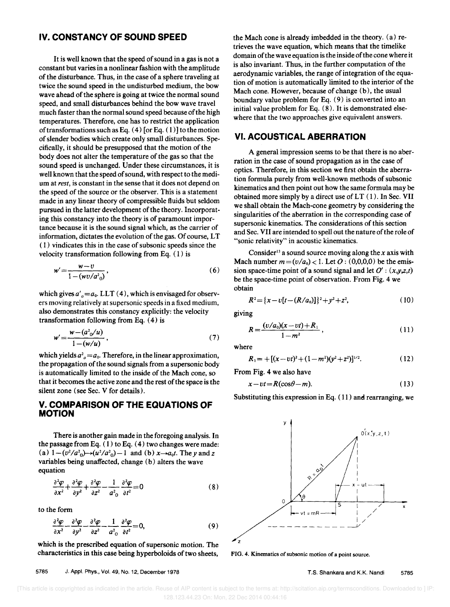#### **IV. CONSTANCY OF SOUND SPEED**

It is well known that the speed of sound in a gas is not a constant but varies in a nonlinear fashion with the amplitude of disturbance. Thus, in the case of a sphere traveling at twice the sound speed in the undisturbed medium, the bow wave ahead of the sphere is going at twice the normal sound speed, and small disturbances behind the bow wave travel much faster than the normal sound speed because of the high temperatures. Therefore, one has to restrict the application of transformations such as Eq.  $(4)$  [or Eq.  $(1)$ ] to the motion of slender bodies which create only small disturbances. Specifically, it should be presupposed that the motion of the body does not alter the temperature of the gas so that the sound speed is unchanged. Under these circumstances, it is well known that the speed of sound, with respect to the medium at *rest,* is constant in the sense that it does not depend on the speed of the source or the observer. This is a statement made in any linear theory of compressible fluids but seldom pursued in the latter development of the theory. Incorporating this constancy into the theory is of paramount importance because it is the sound signal which, as the carrier of information, dictates the evolution of the gas. Of course, LT ( I) vindicates this in the case of subsonic speeds since the velocity transformation following from Eq. (I) is

$$
w' = \frac{w - v}{1 - (wv/a^2_0)},
$$
\n(6)

which gives  $a'_{o} = a_{0}$ . LLT (4), which is envisaged for observers moving relatively at supersonic speeds in a fixed medium, also demonstrates this constancy explicitly: the velocity transformation following from Eq. (4) is

$$
w' = \frac{w - (a^2 o/u)}{1 - (w/u)},
$$
\n(7)

which yields  $a^2$ <sub>o</sub> =  $a_0$ . Therefore, in the linear approximation, the propagation of the sound signals from a supersonic body is automatically limited to the inside of the Mach cone, so that it becomes the active zone and the rest of the space is the silent zone (see Sec. V for details).

#### **V. COMPARISON OF THE EQUATIONS OF MOTION**

There is another gain made in the foregoing analysis. In the passage from Eq.  $(1)$  to Eq.  $(4)$  two changes were made: (a)  $1 - (v^2/a^2) \rightarrow (u^2/a^2) - 1$  and (b)  $x \rightarrow a_0t$ . The y and z variables being unaffected, change (b) alters the wave equation

$$
\frac{\partial^2 \varphi}{\partial x^2} + \frac{\partial^2 \varphi}{\partial y^2} + \frac{\partial^2 \varphi}{\partial z^2} - \frac{1}{a^2} \frac{\partial^2 \varphi}{\partial t^2} = 0
$$
 (8)

to the form

$$
\frac{\partial^2 \varphi}{\partial x^2} - \frac{\partial^2 \varphi}{\partial y^2} - \frac{\partial^2 \varphi}{\partial z^2} - \frac{1}{a^2} \frac{\partial^2 \varphi}{\partial t^2} = 0, \tag{9}
$$

which is the prescribed equation of supersonic motion. The characteristics in this case being hyperboloids of two sheets,

5785 J. Appl. Phys., Vol. 49, No. 12, December 1978

the Mach cone is already imbedded in the theory. (a) retrieves the wave equation, which means that the timelike domain of the wave equation is the inside of the cone where it is also invariant. Thus, in the further computation of the aerodynamic variables, the range of integration of the equation of motion is automatically limited to the interior of the Mach cone. However, because of change (b), the usual boundary value problem for Eq. (9) is converted into an initial value problem for Eq. (8). It is demonstrated elsewhere that the two approaches give equivalent answers.

# **VI. ACOUSTICAL ABERRATION**

A general impression seems to be that there is no aberration in the case of sound propagation as in the case of optics. Therefore, in this section we first obtain the aberration formula purely from well-known methods of subsonic kinematics and then point out how the same formula may be obtained more simply by a direct use of  $LT(1)$ . In Sec. VII we shall obtain the Mach-cone geometry by considering the singularities of the aberration in the corresponding case of supersonic kinematics. The considerations of this section and Sec. VII are intended to spell out the nature of the role of "sonic relativity" in acoustic kinematics.

Consider<sup>13</sup> a sound source moving along the  $x$  axis with Mach number  $m = (v/a_0) < 1$ . Let  $O: (0,0,0,0)$  be the emission space-time point of a sound signal and let  $O'$  :  $(x,y,z,t)$ be the space-time point of observation. From Fig. 4 we obtain

$$
R^2 = \{x - v[t - (R/a_0)]\}^2 + y^2 + z^2,\tag{10}
$$

giving

$$
R = \frac{(v/a_0)(x - vt) + R_1}{1 - m^2},
$$
\n(11)

where

$$
R_1 = +[(x - vt)^2 + (1 - m^2)(y^2 + z^2)]^{1/2}.
$$
 (12)

From Fig. 4 we also have

$$
x - vt = R(\cos\theta - m). \tag{13}
$$

Substituting this expression in Eq. ( II ) and rearranging, we



FIG. 4. Kinematics of subsonic motion of a point source.

T.S. Shankara and K.K. Nandi 5785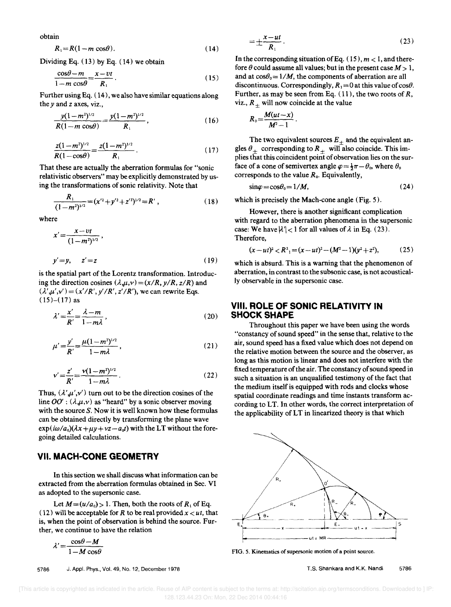obtain

$$
R_1 = R(1 - m\cos\theta). \tag{14}
$$

Dividing Eq. (13) by Eq. (14) we obtain

$$
\frac{\cos\theta - m}{1 - m\cos\theta} = \frac{x - vt}{R_1} \tag{15}
$$

Further using Eq. ( 14), we also have similar equations along the *Y* and z axes, viz.,

$$
\frac{y(1-m^2)^{1/2}}{R(1-m\cos\theta)} = \frac{y(1-m^2)^{1/2}}{R_1},
$$
\n(16)

$$
\frac{z(1-m^2)^{1/2}}{R(1-\cos\theta)} = \frac{z(1-m^2)^{1/2}}{R_1} \,. \tag{17}
$$

That these are actually the aberration formulas for "sonic relativistic observers" may be explicitly demonstrated by using the transformations of sonic relativity. Note that

$$
\frac{R_1}{(1-m^2)^{1/2}} = (x^{\prime 2} + y^{\prime 2} + z^{\prime 2})^{1/2} = R', \qquad (18)
$$

where

$$
x' = \frac{x - vt}{(1 - m^2)^{1/2}},
$$
  
y' = y, z' = z (19)

is the spatial part of the Lorentz transformation. Introducing the direction cosines  $(\lambda, \mu, \nu) = (x/R, y/R, z/R)$  and  $(\lambda', \mu', \nu') = (x'/R', y'/R', z'/R')$ , we can rewrite Eqs.  $(15)-(17)$  as

$$
\lambda' = \frac{x'}{R'} = \frac{\lambda - m}{1 - m\lambda},\tag{20}
$$

$$
\mu' = \frac{y'}{R'} = \frac{\mu(1 - m^2)^{1/2}}{1 - m\lambda},
$$
\n(21)

$$
v' = \frac{z'}{R'} = \frac{v(1-m^2)^{1/2}}{1-m\lambda}.
$$
 (22)

Thus,  $(\lambda', \mu', \nu')$  turn out to be the direction cosines of the line  $OO'$ :  $(\lambda,\mu,\nu)$  as "heard" by a sonic observer moving with the source  $S$ . Now it is well known how these formulas can be obtained directly by transforming the plane wave  $\exp(i\omega/a_0)(\lambda x + \mu y + \nu z - a_0t)$  with the LT without the foregoing detailed calculations.

#### **VII. MACH-CONE GEOMETRY**

In this section we shall discuss what information can be extracted from the aberration formulas obtained in Sec. VI as adopted to the supersonic case.

Let  $M = (u/a_0) > 1$ . Then, both the roots of  $R_1$  of Eq. (12) will be acceptable for *R* to be real provided  $x \leq ut$ , that is, when the point of observation is behind the source. Further, we continue to have the relation

$$
\lambda' = \frac{\cos\theta - M}{1 - M\cos\theta}
$$

5786 J. Appl. Phys., Vol. 49, No. 12, December 1978

$$
=\pm\frac{x-ut}{R_1}.
$$
 (23)

In the corresponding situation of Eq.  $(15)$ ,  $m < 1$ , and therefore  $\theta$  could assume all values; but in the present case  $M > 1$ , and at  $cos\theta_0 = 1/M$ , the components of aberration are all discontinuous. Correspondingly,  $R_1 = 0$  at this value of  $\cos\theta$ . Further, as may be seen from Eq. (11), the two roots of *R,*  viz.,  $R_{+}$  will now coincide at the value

$$
R_0=\frac{M(ut-x)}{M^2-1}.
$$

The two equivalent sources  $E_+$  and the equivalent angles  $\theta_+$  corresponding to  $R_+$  will also coincide. This implies that this coincident point of observation lies on the surface of a cone of semivertex angle  $\varphi = \frac{1}{2}\pi - \theta_0$ , where  $\theta_0$ corresponds to the value  $R_0$ . Equivalently,

$$
\sin \varphi = \cos \theta_0 = 1/M, \tag{24}
$$

which is precisely the Mach-cone angle (Fig. 5).

However, there is another significant complication with regard to the aberration phenomena in the supersonic case: We have  $\lambda'$  | < 1 for all values of  $\lambda$  in Eq. (23). Therefore,

$$
(x - ut)^2 < R^2_1 = (x - ut)^2 - (M^2 - 1)(y^2 + z^2),
$$
 (25)

which is absurd. This is a warning that the phenomenon of aberration, in contrast to the subsonic case, is not acoustically observable in the supersonic case.

#### **VIII. ROLE OF SONIC RELATIVITY IN**  SHOCK SHAPE

Throughout this paper we have been using the words "constancy of sound speed" in the sense that, relative to the air, sound speed has a fixed value which does not depend on the relative motion between the source and the observer, as long as this motion is linear and does not interfere with the fixed temperature of the air. The constancy of sound speed in such a situation is an unqualified testimony of the fact that the medium itself is equipped with rods and clocks whose spatial coordinate readings and time instants transform according to LT. In other words, the correct interpretation of the applicability of LT in linearized theory is that which



FIG. 5. Kinematics of supersonic motion of a point source.

T.S. Shankara and K.K. Nandi 5786

 [This article is copyrighted as indicated in the article. Reuse of AIP content is subject to the terms at: http://scitation.aip.org/termsconditions. Downloaded to ] IP: 128.123.44.23 On: Mon, 22 Dec 2014 00:44:16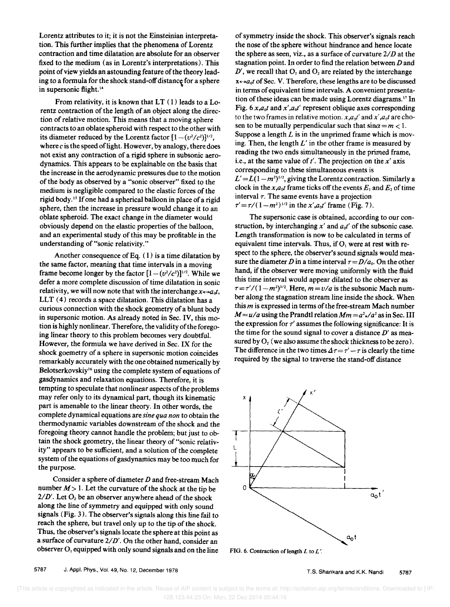Lorentz attributes to it; it is not the Einsteinian interpretation. This further implies that the phenomena of Lorentz contraction and time dilatation are absolute for an observer fixed to the medium (as in Lorentz's interpretations). This point of view yields an astounding feature of the theory leading to a formula for the shock stand-off distance for a sphere in supersonic flight.<sup>14</sup>

From relativity, it is known that  $LT(1)$  leads to a Lorentz contraction of the length of an object along the direction of relative motion. This means that a moving sphere contracts to an oblate spheroid with respect to the other with its diameter reduced by the Lorentz factor  $[1-(v^2/c^2)]^{1/2}$ , where  $c$  is the speed of light. However, by analogy, there does not exist any contraction of a rigid sphere in subsonic aerodynamics. This appears to be explainable on the basis that the increase in the aerodynamic pressures due to the motion of the body as observed by a "sonic observer" fixed to the medium is negligible compared to the elastic forces of the rigid body.<sup>15</sup> If one had a spherical balloon in place of a rigid sphere, then the increase in pressure would change it to an oblate spheroid. The exact change in the diameter would obviously depend on the elastic properties of the balloon, and an experimental study of this may be profitable in the understanding of "sonic relativity."

Another consequence of Eq. (1) is a time dilatation by the same factor, meaning that time intervals in a moving frame become longer by the factor  $[1-(v^2/c^2)]^{1/2}$ . While we defer a more complete discussion of time dilatation in sonic relativity, we will now note that with the interchange  $x \leftrightarrow a_0 t$ , LLT (4) records a space dilatation. This dilatation has a curious connection with the shock geometry of a blunt body in supersonic motion. As already noted in Sec. IV, this motion is highly nonlinear. Therefore, the validity of the foregoing linear theory to this problem becomes very doubtful. However, the formula we have derived in Sec. IX for the shock goemetry of a sphere in supersonic motion coincides remarkably accurately with the one obtained numerically by Belotserkovskiy<sup>16</sup> using the complete system of equations of gasdynamics and relaxation equations. Therefore, it is tempting to speculate that nonlinear aspects of the problems may refer only to its dynamical part, though its kinematic part is amenable to the linear theory. In other words, the complete dynamical equations are *sine qua non* to obtain the thermodynamic variables downstream of the shock and the foregoing theory cannot handle the problem; but just to obtain the shock geometry, the linear theory of "sonic relativity" appears to be sufficient, and a solution of the complete system of the equations of gasdynamics may be too much for the purpose.

Consider a sphere of diameter *D* and free-stream Mach number  $M > 1$ . Let the curvature of the shock at the tip be  $2/D'$ . Let O<sub>2</sub> be an observer anywhere ahead of the shock  $a_0 t$  $2/D'$ . Let  $O_2$  be an observer anywhere ahead of the shock along the line of symmetry and equipped with only sound signals (Fig. 3). The observer's signals along this line fail to reach the sphere, but travel only up to the tip of the shock. Thus, the observer's signals locate the sphere at this point as a surface of curvature  $2/D'$ . On the other hand, consider an observer O<sub>1</sub> equipped with only sound signals and on the line FIG. 6. Contraction of length *L* to *L'*.

of symmetry inside the shock. This observer's signals reach the nose of the sphere without hindrance and hence locate the sphere as seen, viz., as a surface of curvature  $2/D$  at the stagnation point. In order to find the relation between *D* and  $D'$ , we recall that  $O_1$  and  $O_2$  are related by the interchange  $x \leftrightarrow a_0 t$  of Sec. V. Therefore, these lengths are to be discussed in terms of equivalent time intervals. A convenient presentation of these ideas can be made using Lorentz diagrams.<sup>17</sup> In Fig.  $6 x,a_0t$  and  $x',a_0t'$  represent oblique axes corresponding to the two frames in relative motion.  $x, a_0t'$  and  $x', a_0t$  are chosen to be mutually perpendicular such that  $\sin \alpha = m < 1$ . Suppose a length *L* is in the unprimed frame which is moving. Then, the length *L'* in the other frame is measured by reading the two ends simultaneously in the primed frame, i.e., at the same value of  $t'$ . The projection on the  $x'$  axis corresponding to these simultaneous events is  $L' = L(1-m^2)^{1/2}$ , giving the Lorentz contraction. Similarly a clock in the  $x, a_0t$  frame ticks off the events  $E_1$  and  $E_2$  of time interval  $\tau$ . The same events have a projection  $\tau' = \tau/(1-m^2)^{1/2}$  in the *x'*,*a*<sub>0</sub>*t'* frame (Fig. 7).

The supersonic case is obtained, according to our construction, by interchanging  $x'$  and  $a_0t'$  of the subsonic case. Length transformation is now to be calculated in terms of equivalent time intervals. Thus, if  $O<sub>1</sub>$  were at rest with respect to the sphere, the observer's sound signals would measure the diameter *D* in a time interval  $\tau = D/a_0$ . On the other hand, if the observer were moving uniformly with the fluid this time interval would appear dilated to the observer as  $\tau = \tau' / (1 - m^2)^{1/2}$ . Here,  $m = v/a$  is the subsonic Mach number along the stagnation stream line inside the shock. When this *m* is expressed in terms of the free-stream Mach number  $M = u/a$  using the Prandtl relation  $Mm = a^2 \cdot a^2$  as in Sec. III the expression for  $\tau'$  assumes the following significance: It is the time for the sound signal to cover a distance *D'* as measured by  $O<sub>2</sub>$  (we also assume the shock thickness to be zero). The difference in the two times  $\Delta \tau = \tau' - \tau$  is clearly the time required by the signal to traverse the stand-off distance

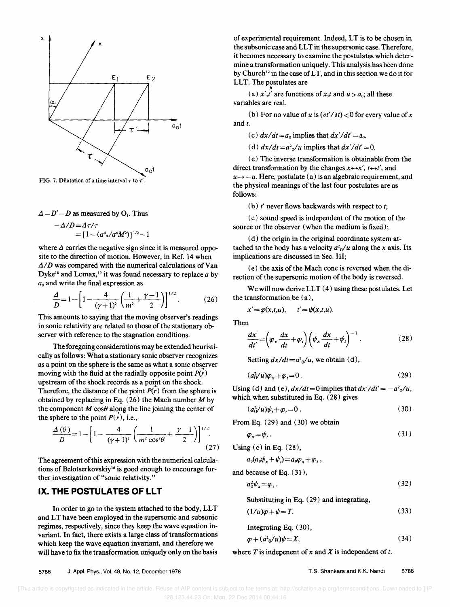

FIG. 7. Dilatation of a time interval  $\tau$  to  $\tau'$ .

$$
\Delta = D' - D
$$
 as measured by O<sub>1</sub>. Thus

$$
-\Delta/D = \Delta \tau / \tau = [1 - (a^4 \cdot / a^4 M^2)]^{1/2} - 1
$$

where  $\Delta$  carries the negative sign since it is measured opposite to the direction of motion. However, in Ref. 14 when  $\Delta/D$  was compared with the numerical calculations of Van Dyke<sup>18</sup> and Lomax,<sup>19</sup> it was found necessary to replace  $a$  by *ao* and write the final expression as

$$
\frac{\Delta}{D} = 1 - \left[ 1 - \frac{4}{(\gamma + 1)^2} \left( \frac{1}{m^2} + \frac{\gamma - 1}{2} \right) \right]^{1/2} .
$$
 (26)

This amounts to saying that the moving observer's readings in sonic relativity are related to those of the stationary observer with reference to the stagnation conditions.

The foregoing considerations may be extended heuristically as follows: What a stationary sonic observer recognizes as a point on the sphere is the same as what a sonic observer moving with the fluid at the radially opposite point  $P(r)$ upstream of the shock records as a point on the shock. Therefore, the distance of the point  $P(r)$  from the sphere is obtained by replacing in Eq.  $(26)$  the Mach number *M* by the component *M*  $\cos\theta$  along the line joining the center of the sphere to the point  $P(r)$ , i.e.,

$$
\frac{\Delta(\theta)}{D} = 1 - \left[ 1 - \frac{4}{(\gamma + 1)^2} \left( \frac{1}{m^2 \cos^2 \theta} + \frac{\gamma - 1}{2} \right) \right]^{1/2}.
$$
\n(27)

The agreement of this expression with the numerical calculations of Belotserkovskiy<sup>16</sup> is good enough to encourage further investigation of "sonic relativity."

# **IX. THE POSTULATES OF LLT**

In order to go to the system attached to the body, LLT and LT have been employed in the supersonic and subsonic regimes, respectively, since they keep the wave equation invariant. In fact, there exists a large class of transformations which keep the wave equation invariant, and therefore we will have to fix the transformation uniquely only on the basis

of experimental requirement. Indeed, LT is to be chosen in the subsonic case and LLT in the supersonic case. Therefore, it becomes necessary to examine the postulates which determine a transformation uniquely. This analysis has been done by Church<sup>12</sup> in the case of LT, and in this section we do it for LLT. The postulates are

(a)  $x', t'$  are functions of x,t and  $u > a_0$ ; all these variables are real.

(b) For no value of u is  $(\partial t'/\partial t) < 0$  for every value of x and  $t$ .

(c)  $dx/dt = a_0$  implies that  $dx'/dt' = a_0$ .

(d)  $dx/dt = a^2\omega/u$  implies that  $dx'/dt' = 0$ .

(e) The inverse transformation is obtainable from the direct transformation by the changes  $x \leftrightarrow x'$ ,  $t \leftrightarrow t'$ , and  $u \rightarrow -u$ . Here, postulate (a) is an algebraic requirement, and the physical meanings of the last four postulates are as follows:

(b) *t'* never flows backwards with respect to *t;* 

(c) sound speed is independent of the motion of the source or the observer (when the medium is fixed);

(d) the origin in the original coordinate system attached to the body has a velocity  $a^2 \phi / u$  along the *x* axis. Its implications are discussed in Sec. III;

(e) the axis of the Mach cone is reversed when the direction of the supersonic motion of the body is reversed.

We will now derive LLT  $(4)$  using these postulates. Let the transformation be (a),

 $x' = \varphi(x,t,u), \quad t' = \psi(x,t,u).$ 

Then

$$
\frac{dx'}{dt'} = \left(\varphi_x \frac{dx}{dt} + \varphi_t\right) \left(\psi_x \frac{dx}{dt} + \psi_t\right)^{-1}.
$$
 (28)

Setting  $dx/dt = a^2 \sqrt{u}$ , we obtain (d),

$$
(a_0^2/u)\varphi_x + \varphi_t = 0\,. \tag{29}
$$

Using (d) and (e),  $dx/dt=0$  implies that  $dx'/dt'=-a_0/u$ , which when substituted in Eq. (28) gives

 $(a_0^2/u)\psi_t + \varphi_t = 0$ . (30)

From Eq. (29) and (30) we obtain

$$
\varphi_x = \psi_t \,. \tag{31}
$$

Using (c) in Eq. (28),

$$
a_0(a_0\psi_x+\psi_t)=a_0\varphi_x+\varphi_t,
$$

and because of Eq. (31),

$$
a_0^2 \psi_x = \varphi_t \,. \tag{32}
$$

Substituting in Eq. (29) and integrating,

$$
(1/u)\varphi + \psi = T. \tag{33}
$$

Integrating Eq. (30),

$$
\varphi + (a^2 \omega/u)\psi = X,\tag{34}
$$

where  $T$  is indepenent of  $x$  and  $\overline{X}$  is independent of  $t$ .